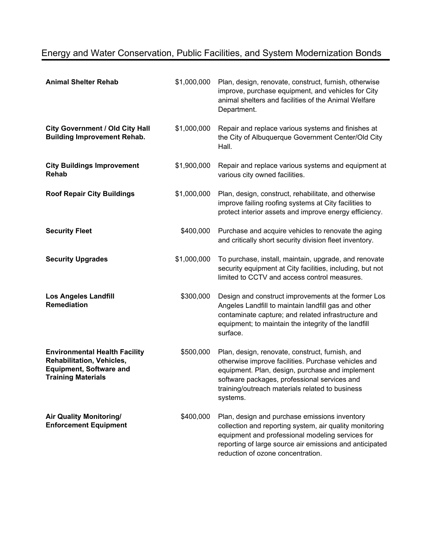## Energy and Water Conservation, Public Facilities, and System Modernization Bonds

| <b>Animal Shelter Rehab</b>                                                                                                      | \$1,000,000 | Plan, design, renovate, construct, furnish, otherwise<br>improve, purchase equipment, and vehicles for City<br>animal shelters and facilities of the Animal Welfare<br>Department.                                                                                       |
|----------------------------------------------------------------------------------------------------------------------------------|-------------|--------------------------------------------------------------------------------------------------------------------------------------------------------------------------------------------------------------------------------------------------------------------------|
| <b>City Government / Old City Hall</b><br><b>Building Improvement Rehab.</b>                                                     | \$1,000,000 | Repair and replace various systems and finishes at<br>the City of Albuquerque Government Center/Old City<br>Hall.                                                                                                                                                        |
| <b>City Buildings Improvement</b><br><b>Rehab</b>                                                                                | \$1,900,000 | Repair and replace various systems and equipment at<br>various city owned facilities.                                                                                                                                                                                    |
| <b>Roof Repair City Buildings</b>                                                                                                | \$1,000,000 | Plan, design, construct, rehabilitate, and otherwise<br>improve failing roofing systems at City facilities to<br>protect interior assets and improve energy efficiency.                                                                                                  |
| <b>Security Fleet</b>                                                                                                            | \$400,000   | Purchase and acquire vehicles to renovate the aging<br>and critically short security division fleet inventory.                                                                                                                                                           |
| <b>Security Upgrades</b>                                                                                                         | \$1,000,000 | To purchase, install, maintain, upgrade, and renovate<br>security equipment at City facilities, including, but not<br>limited to CCTV and access control measures.                                                                                                       |
| <b>Los Angeles Landfill</b><br><b>Remediation</b>                                                                                | \$300,000   | Design and construct improvements at the former Los<br>Angeles Landfill to maintain landfill gas and other<br>contaminate capture; and related infrastructure and<br>equipment; to maintain the integrity of the landfill<br>surface.                                    |
| <b>Environmental Health Facility</b><br>Rehabilitation, Vehicles,<br><b>Equipment, Software and</b><br><b>Training Materials</b> | \$500,000   | Plan, design, renovate, construct, furnish, and<br>otherwise improve facilities. Purchase vehicles and<br>equipment. Plan, design, purchase and implement<br>software packages, professional services and<br>training/outreach materials related to business<br>systems. |
| <b>Air Quality Monitoring/</b><br><b>Enforcement Equipment</b>                                                                   | \$400,000   | Plan, design and purchase emissions inventory<br>collection and reporting system, air quality monitoring<br>equipment and professional modeling services for<br>reporting of large source air emissions and anticipated<br>reduction of ozone concentration.             |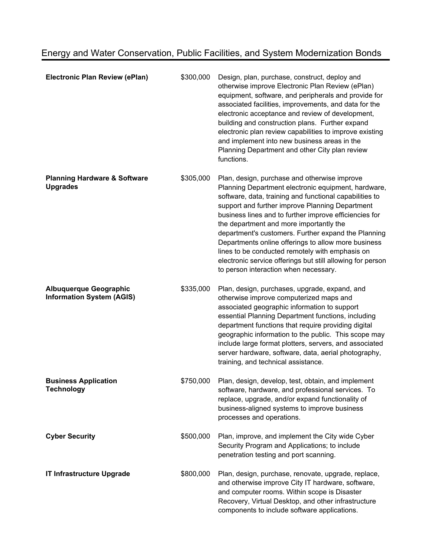| <b>Electronic Plan Review (ePlan)</b>                             | \$300,000 | Design, plan, purchase, construct, deploy and<br>otherwise improve Electronic Plan Review (ePlan)<br>equipment, software, and peripherals and provide for<br>associated facilities, improvements, and data for the<br>electronic acceptance and review of development,<br>building and construction plans. Further expand<br>electronic plan review capabilities to improve existing<br>and implement into new business areas in the<br>Planning Department and other City plan review<br>functions.                                                                                           |
|-------------------------------------------------------------------|-----------|------------------------------------------------------------------------------------------------------------------------------------------------------------------------------------------------------------------------------------------------------------------------------------------------------------------------------------------------------------------------------------------------------------------------------------------------------------------------------------------------------------------------------------------------------------------------------------------------|
| <b>Planning Hardware &amp; Software</b><br><b>Upgrades</b>        | \$305,000 | Plan, design, purchase and otherwise improve<br>Planning Department electronic equipment, hardware,<br>software, data, training and functional capabilities to<br>support and further improve Planning Department<br>business lines and to further improve efficiencies for<br>the department and more importantly the<br>department's customers. Further expand the Planning<br>Departments online offerings to allow more business<br>lines to be conducted remotely with emphasis on<br>electronic service offerings but still allowing for person<br>to person interaction when necessary. |
| <b>Albuquerque Geographic</b><br><b>Information System (AGIS)</b> | \$335,000 | Plan, design, purchases, upgrade, expand, and<br>otherwise improve computerized maps and<br>associated geographic information to support<br>essential Planning Department functions, including<br>department functions that require providing digital<br>geographic information to the public. This scope may<br>include large format plotters, servers, and associated<br>server hardware, software, data, aerial photography,<br>training, and technical assistance.                                                                                                                         |
| <b>Business Application</b><br><b>Technology</b>                  | \$750,000 | Plan, design, develop, test, obtain, and implement<br>software, hardware, and professional services. To<br>replace, upgrade, and/or expand functionality of<br>business-aligned systems to improve business<br>processes and operations.                                                                                                                                                                                                                                                                                                                                                       |
| <b>Cyber Security</b>                                             | \$500,000 | Plan, improve, and implement the City wide Cyber<br>Security Program and Applications; to include<br>penetration testing and port scanning.                                                                                                                                                                                                                                                                                                                                                                                                                                                    |
| <b>IT Infrastructure Upgrade</b>                                  | \$800,000 | Plan, design, purchase, renovate, upgrade, replace,<br>and otherwise improve City IT hardware, software,<br>and computer rooms. Within scope is Disaster<br>Recovery, Virtual Desktop, and other infrastructure<br>components to include software applications.                                                                                                                                                                                                                                                                                                                                |

## Energy and Water Conservation, Public Facilities, and System Modernization Bonds